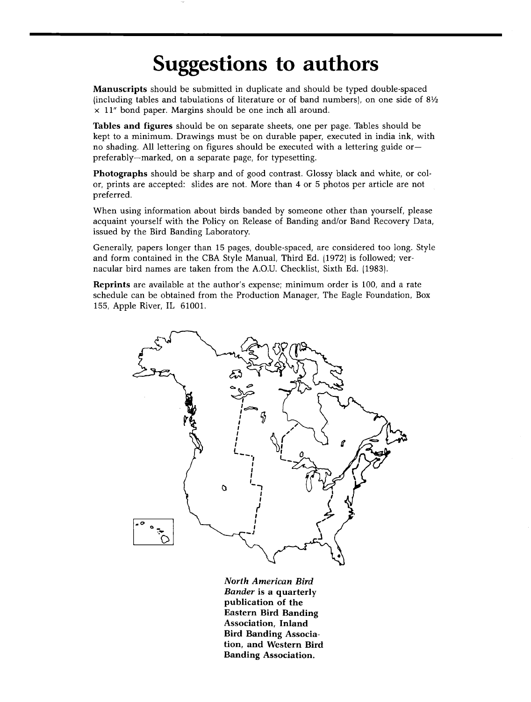## **Suggestions to authors**

**Manuscripts should be submitted in duplicate and should be typed double-spaced (including tables and tabulations of literature or of band numbers), on one side of 81/2**   $\times$  11" bond paper. Margins should be one inch all around.

**Tables and figures should be on separate sheets, one per page. Tables should be kept to a minimum. Drawings must be on durable paper, executed in india ink, with no shading. All lettering on figures should be executed with a lettering guide or- preferably--marked, on a separate page, for typesetting.** 

**Photographs should be sharp and of good contrast. Glossy black and white, or color, prints are accepted: slides are not. More than 4 or 5 photos per article are not preferred.** 

**When using information about birds banded by someone other than yourself, please acquaint yourself with the Policy on Release of Banding and/or Band Recovery Data, issued by the Bird Banding Laboratory.** 

**Generally, papers longer than 15 pages, double-spaced, are considered too long. Style and form contained in the CBA Style Manual, Third Ed. (1972) is followed; vernacular bird names are taken from the A.O.U. Checklist, Sixth Ed. 11983).** 

**Reprints are available at the author's expense; minimum order is 100, and a rate schedule can be obtained from the Production Manager, The Eagle Foundation, Box 155, Apple River, IL 61001.** 



**North American Bird Bander is a quarterly publication of the Eastern Bird Banding Association, Inland Bird Banding Association, and Western Bird Banding Association.**